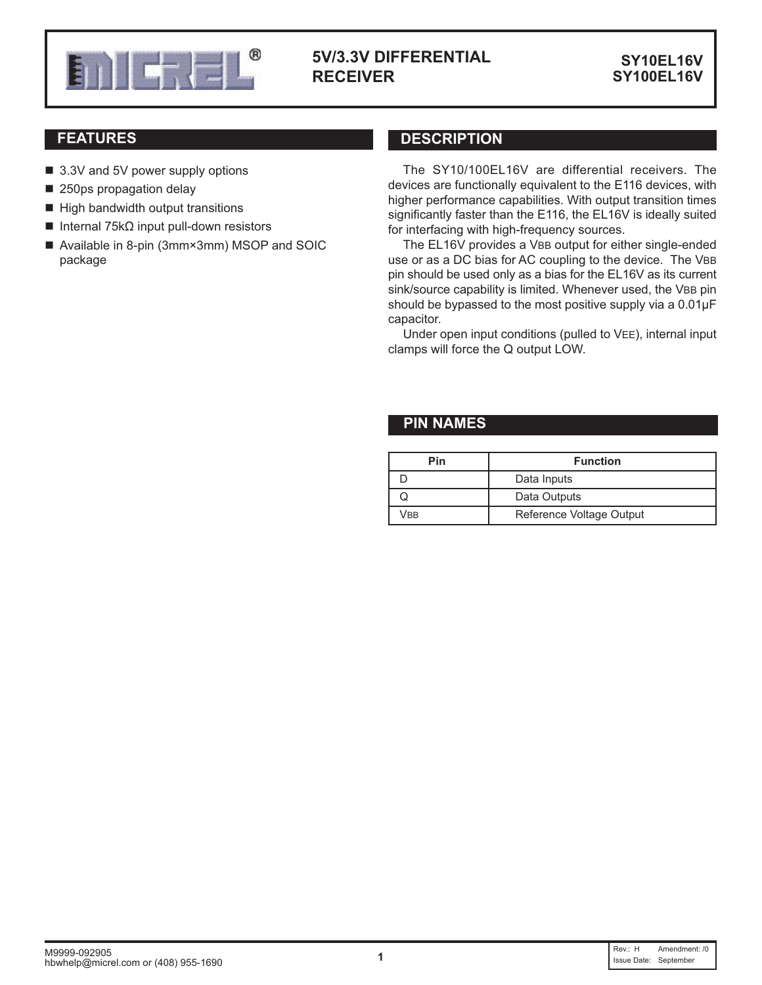

# **RECEIVER**

**SY10EL16V**

- 3.3V and 5V power supply options
- 250ps propagation delay
- $\blacksquare$  High bandwidth output transitions
- $■$  Internal 75kΩ input pull-down resistors
- Available in 8-pin (3mm×3mm) MSOP and SOIC package

# **FEATURES DESCRIPTION**

The SY10/100EL16V are differential receivers. The devices are functionally equivalent to the E116 devices, with higher performance capabilities. With output transition times significantly faster than the E116, the EL16V is ideally suited for interfacing with high-frequency sources.

The EL16V provides a VBB output for either single-ended use or as a DC bias for AC coupling to the device. The VBB pin should be used only as a bias for the EL16V as its current sink/source capability is limited. Whenever used, the VBB pin should be bypassed to the most positive supply via a  $0.01 \mu$ F capacitor.

Under open input conditions (pulled to VEE), internal input clamps will force the Q output LOW.

## **PIN NAMES**

| Pin | <b>Function</b>          |  |  |  |  |  |  |  |
|-----|--------------------------|--|--|--|--|--|--|--|
|     | Data Inputs              |  |  |  |  |  |  |  |
|     | Data Outputs             |  |  |  |  |  |  |  |
| /BB | Reference Voltage Output |  |  |  |  |  |  |  |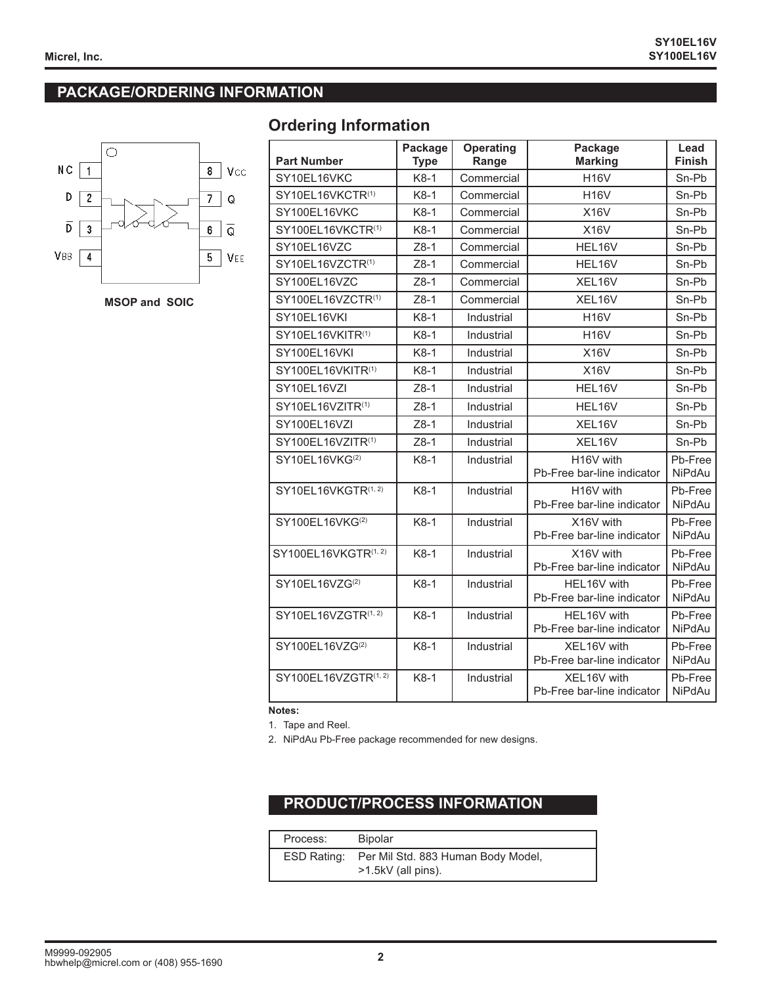# **PACKAGE/ORDERING INFORMATION**



**MSOP and SOIC** 

# **Ordering Information**

| <b>Part Number</b>           | Package<br><b>Type</b> | <b>Operating</b><br>Range | Package<br><b>Marking</b>                 | Lead<br>Finish           |
|------------------------------|------------------------|---------------------------|-------------------------------------------|--------------------------|
| SY10EL16VKC                  | $K8-1$                 | Commercial                | <b>H16V</b>                               | Sn-Pb                    |
| SY10EL16VKCTR(1)             | $K8-1$                 | Commercial                | <b>H16V</b>                               | Sn-Pb                    |
| SY100EL16VKC                 | $K8-1$                 | Commercial                | <b>X16V</b>                               | Sn-Pb                    |
| SY100EL16VKCTR(1)            | $K8-1$                 | Commercial                | <b>X16V</b>                               | Sn-Pb                    |
| SY10EL16VZC                  | $Z8-1$                 | Commercial                | HEL16V                                    | Sn-Pb                    |
| SY10EL16VZCTR(1)             | $Z8-1$                 | Commercial                | HEL16V                                    | Sn-Pb                    |
| SY100EL16VZC                 | $Z8-1$                 | Commercial                | XEL16V                                    | Sn-Pb                    |
| SY100EL16VZCTR(1)            | $Z8-1$                 | Commercial                | XEL16V                                    | Sn-Pb                    |
| SY10EL16VKI                  | K8-1                   | Industrial                | <b>H16V</b>                               | Sn-Pb                    |
| SY10EL16VKITR(1)             | $K8-1$                 | Industrial                | <b>H16V</b>                               | Sn-Pb                    |
| SY100EL16VKI                 | $K8-1$                 | Industrial                | <b>X16V</b>                               | Sn-Pb                    |
| SY100EL16VKITR(1)            | K8-1                   | Industrial                | <b>X16V</b>                               | Sn-Pb                    |
| SY10EL16VZI                  | $Z8-1$                 | Industrial                | HEL16V                                    | Sn-Pb                    |
| SY10EL16VZITR <sup>(1)</sup> | $Z8-1$                 | Industrial                | HEL16V                                    | Sn-Pb                    |
| SY100EL16VZI                 | $Z8-1$                 | Industrial                | XEL16V                                    | Sn-Pb                    |
| SY100EL16VZITR(1)            | $Z8-1$                 | Industrial                | XEL16V                                    | Sn-Pb                    |
| SY10EL16VKG <sup>(2)</sup>   | K8-1                   | Industrial                | H16V with<br>Pb-Free bar-line indicator   | Pb-Free<br><b>NiPdAu</b> |
| SY10EL16VKGTR(1, 2)          | $K8-1$                 | Industrial                | H16V with<br>Pb-Free bar-line indicator   | Pb-Free<br><b>NiPdAu</b> |
| SY100EL16VKG <sup>(2)</sup>  | $K8-1$                 | Industrial                | X16V with<br>Pb-Free bar-line indicator   | Pb-Free<br><b>NiPdAu</b> |
| SY100EL16VKGTR(1, 2)         | $K8-1$                 | Industrial                | X16V with<br>Pb-Free bar-line indicator   | Pb-Free<br><b>NiPdAu</b> |
| SY10EL16VZG <sup>(2)</sup>   | $K8-1$                 | Industrial                | HEL16V with<br>Pb-Free bar-line indicator | Pb-Free<br><b>NiPdAu</b> |
| SY10EL16VZGTR(1, 2)          | K8-1                   | Industrial                | HEL16V with<br>Pb-Free bar-line indicator | Pb-Free<br><b>NiPdAu</b> |
| SY100EL16VZG <sup>(2)</sup>  | $K8-1$                 | Industrial                | XEL16V with<br>Pb-Free bar-line indicator | Pb-Free<br>NiPdAu        |
| SY100EL16VZGTR(1, 2)         | K8-1                   | Industrial                | XEL16V with<br>Pb-Free bar-line indicator | Pb-Free<br>NiPdAu        |

**Notes:**

1. Tape and Reel.

2. NiPdAu Pb-Free package recommended for new designs.

# **PRODUCT/PROCESS INFORMATION**

| Process:    | <b>Bipolar</b>                                           |
|-------------|----------------------------------------------------------|
| ESD Rating: | Per Mil Std. 883 Human Body Model,<br>>1.5kV (all pins). |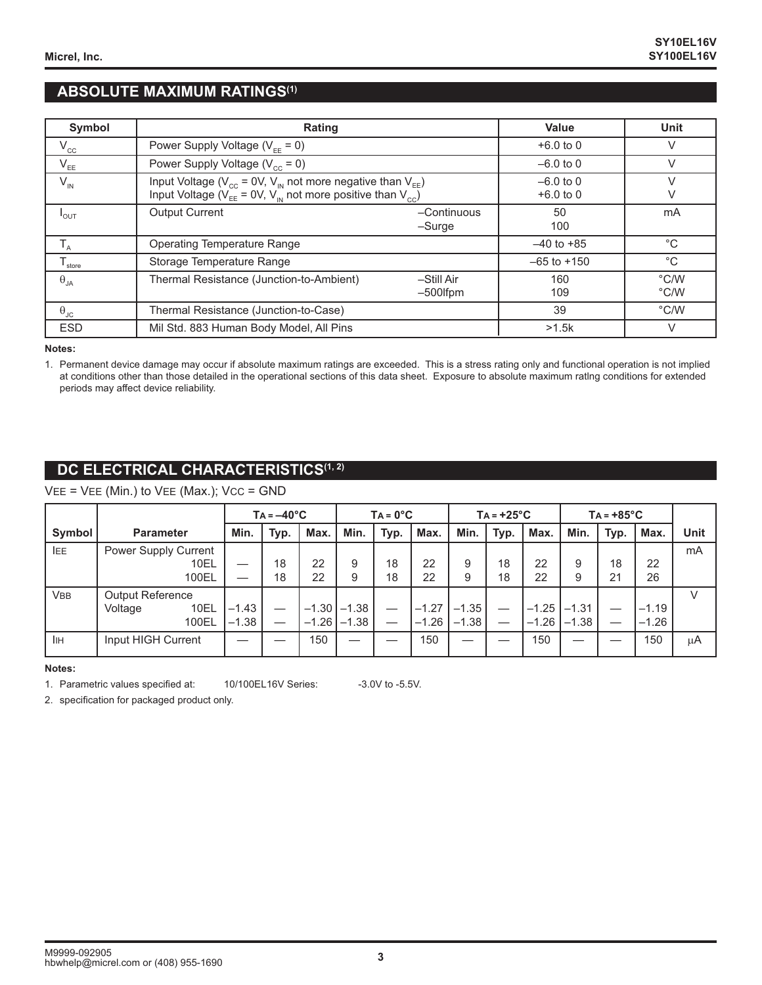# **ABSOLUTE MAXIMUM RATINGS(1)**

| Symbol               | Rating                                                                                                                                                  | Value                      | Unit            |                       |
|----------------------|---------------------------------------------------------------------------------------------------------------------------------------------------------|----------------------------|-----------------|-----------------------|
| $V_{cc}$             | Power Supply Voltage ( $V_{FF} = 0$ )                                                                                                                   |                            | $+6.0$ to 0     | V                     |
| $V_{EE}$             | Power Supply Voltage ( $V_{cc}$ = 0)                                                                                                                    | $-6.0$ to 0                | V               |                       |
| $V_{\text{IN}}$      | Input Voltage ( $V_{cc}$ = 0V, $V_{in}$ not more negative than $V_{EF}$ )<br>Input Voltage ( $V_{EE} = 0V$ , $V_{IN}$ not more positive than $V_{CC}$ ) | $-6.0$ to 0<br>$+6.0$ to 0 | V               |                       |
| $I_{OUT}$            | <b>Output Current</b>                                                                                                                                   | $-$ Continuous<br>-Surge   | 50<br>100       | mA                    |
| $T_A$                | <b>Operating Temperature Range</b>                                                                                                                      |                            | $-40$ to $+85$  | $^{\circ}C$           |
| $T_{\text{store}}$   | Storage Temperature Range                                                                                                                               |                            | $-65$ to $+150$ | $^{\circ}C$           |
| $\theta_{JA}$        | Thermal Resistance (Junction-to-Ambient)                                                                                                                | -Still Air<br>$-500$ fpm   | 160<br>109      | $\degree$ C/W<br>°C/W |
| $\theta_{\text{JC}}$ | Thermal Resistance (Junction-to-Case)                                                                                                                   |                            | 39              | $\degree$ C/W         |
| <b>ESD</b>           | Mil Std. 883 Human Body Model, All Pins                                                                                                                 |                            | >1.5k           | V                     |

#### **Notes:**

1. Permanent device damage may occur if absolute maximum ratings are exceeded. This is a stress rating only and functional operation is not implied at conditions other than those detailed in the operational sections of this data sheet. Exposure to absolute maximum ratlng conditions for extended periods may affect device reliability.

# **DC ELECTRICAL CHARACTERISTICS(1, 2)**

#### $VEE = VEE$  (Min.) to  $VEE$  (Max.);  $VCC = GND$

|            |                         |         | $Ta = -40°C$ |         |                  | $TA = 0^{\circ}C$ |         |         | $TA = +25^{\circ}C$ |         |         | $TA = +85^{\circ}C$ |         |      |  |
|------------|-------------------------|---------|--------------|---------|------------------|-------------------|---------|---------|---------------------|---------|---------|---------------------|---------|------|--|
| Symbol     | <b>Parameter</b>        | Min.    | Typ.         | Max.    | Min.             | Typ.              | Max.    | Min.    | Typ.                | Max.    | Min.    | Typ.                | Max.    | Unit |  |
| <b>IEE</b> | Power Supply Current    |         |              |         |                  |                   |         |         |                     |         |         |                     |         | mA   |  |
|            | 10EL                    |         | 18           | 22      | 9                | 18                | 22      | 9       | 18                  | 22      | 9       | 18                  | 22      |      |  |
|            | 100EL                   |         | 18           | 22      | 9                | 18                | 22      | 9       | 18                  | 22      | 9       | 21                  | 26      |      |  |
| <b>VBB</b> | <b>Output Reference</b> |         |              |         |                  |                   |         |         |                     |         |         |                     |         | V    |  |
|            | 10EL<br>Voltage         | $-1.43$ |              | $-1.30$ | l –1.38          |                   | $-1.27$ | $-1.35$ |                     | $-1.25$ | $-1.31$ |                     | $-1.19$ |      |  |
|            | 100EL                   | $-1.38$ |              |         | $-1.26$ $ -1.38$ |                   | $-1.26$ | $-1.38$ |                     | $-1.26$ | $-1.38$ |                     | $-1.26$ |      |  |
| <b>IIH</b> | Input HIGH Current      |         |              | 150     |                  |                   | 150     |         |                     | 150     |         |                     | 150     | μA   |  |

#### **Notes:**

1. Parametric values specified at: 10/100EL16V Series: -3.0V to -5.5V.

2. specification for packaged product only.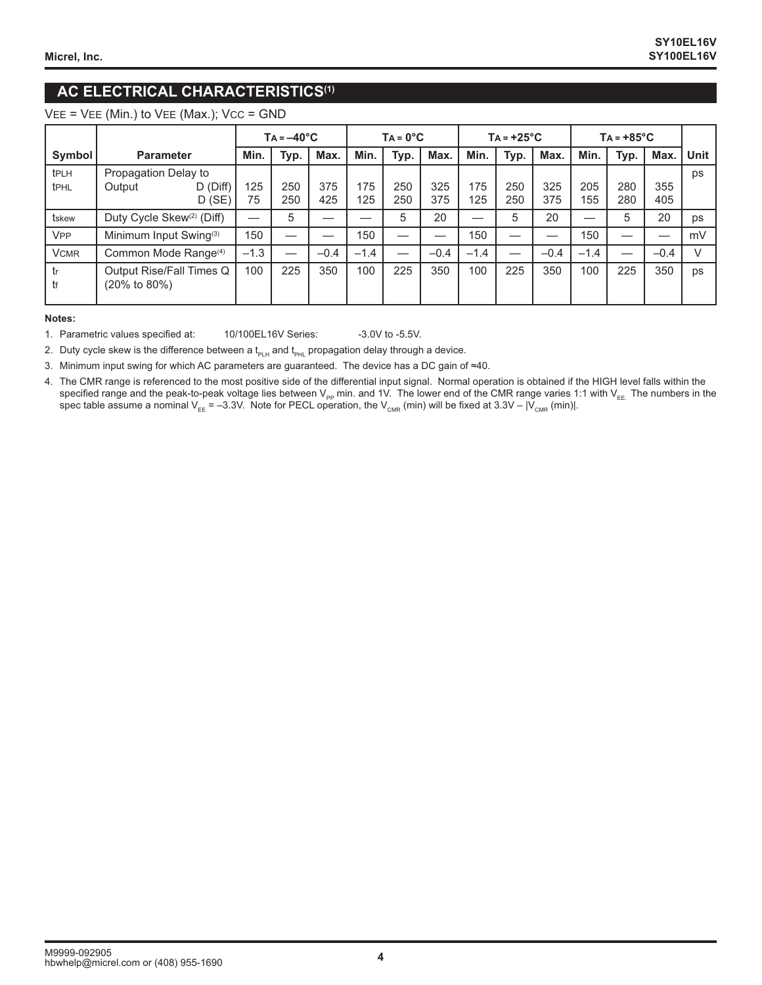# **AC ELECTRICAL CHARACTERISTICS(1)**

 $VEE = VEE$  (Min.) to  $VEE$  (Max.);  $VCC = GND$ 

|                                      |                                                       | $Ta = -40°C$           |           |            | $TA = 0^{\circ}C$ |            |            |            | $TA = +25^{\circ}C$ |            | $TA = +85^{\circ}C$ |            |            |            |             |
|--------------------------------------|-------------------------------------------------------|------------------------|-----------|------------|-------------------|------------|------------|------------|---------------------|------------|---------------------|------------|------------|------------|-------------|
| Symbol                               | <b>Parameter</b>                                      |                        | Min.      | Typ.       | Max.              | Min.       | Typ.       | Max.       | Min.                | Typ.       | Max.                | Min.       | Typ.       | Max.       | <b>Unit</b> |
| t <sub>PLH</sub><br>t <sub>PHL</sub> | Propagation Delay to<br>Output                        | $D$ (Diff)<br>$D$ (SE) | 125<br>75 | 250<br>250 | 375<br>425        | 175<br>125 | 250<br>250 | 325<br>375 | 175<br>125          | 250<br>250 | 325<br>375          | 205<br>155 | 280<br>280 | 355<br>405 | ps          |
| tskew                                | Duty Cycle Skew <sup>(2)</sup> (Diff)                 |                        | -         | 5          |                   |            | 5          | 20         | —                   | 5          | 20                  |            | 5          | 20         | ps          |
| <b>V<sub>PP</sub></b>                | Minimum Input Swing <sup>(3)</sup>                    |                        | 150       |            |                   | 150        |            |            | 150                 |            |                     | 150        |            |            | mV          |
| <b>VCMR</b>                          | Common Mode Range <sup>(4)</sup>                      |                        | $-1.3$    |            | $-0.4$            | $-1.4$     |            | $-0.4$     | $-1.4$              |            | $-0.4$              | $-1.4$     |            | $-0.4$     | $\vee$      |
| tr<br>tf                             | Output Rise/Fall Times Q<br>$(20\% \text{ to } 80\%)$ |                        | 100       | 225        | 350               | 100        | 225        | 350        | 100                 | 225        | 350                 | 100        | 225        | 350        | ps          |

#### **Notes:**

1. Parametric values specified at: 10/100EL16V Series: -3.0V to -5.5V.

2. Duty cycle skew is the difference between a  $t_{PLH}$  and  $t_{PHL}$  propagation delay through a device.

3. Minimum input swing for which AC parameters are guaranteed. The device has a DC gain of ≈40.

4. The CMR range is referenced to the most positive side of the differential input signal. Normal operation is obtained if the HIGH level falls within the specified range and the peak-to-peak voltage lies between V<sub>PP</sub> min. and 1V. The lower end of the CMR range varies 1:1 with V<sub>EE.</sub> The numbers in the spec table assume a nominal V $_{\sf{EE}}$  = –3.3V. Note for PECL operation, the V $_{\sf CMR}$  (min) will be fixed at 3.3V – |V $_{\sf CMR}$  (min)|.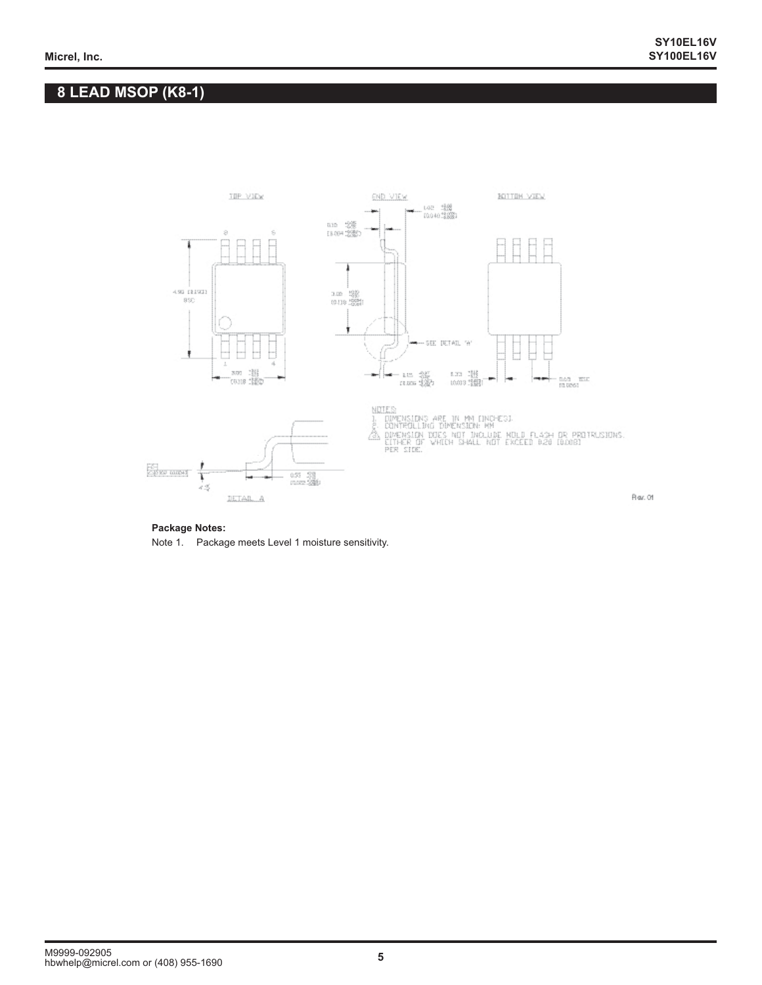# **8 LEAD MSOP (K8-1)**



#### **Package Notes:**

Note 1. Package meets Level 1 moisture sensitivity.